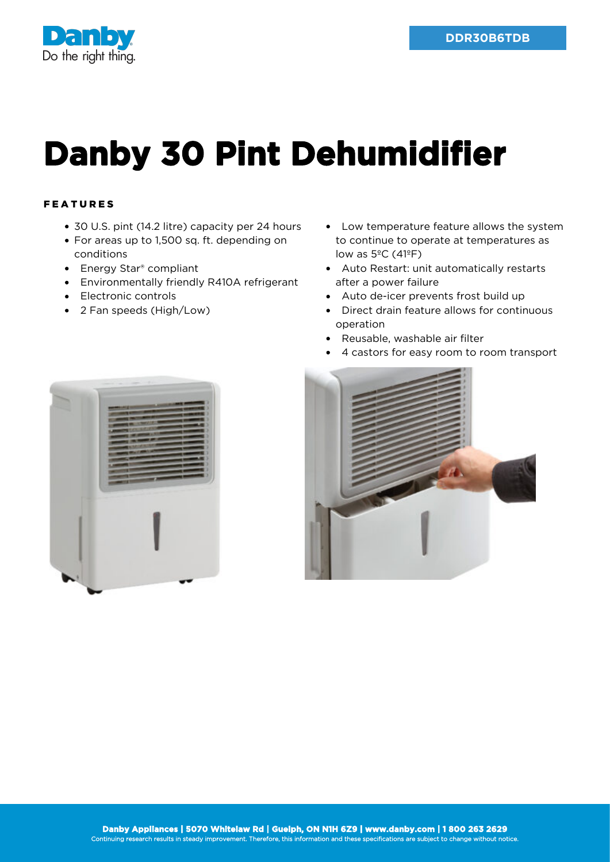

## **Danby 30 Pint Dehumidifier**

## FEATURES

- 30 U.S. pint (14.2 litre) capacity per 24 hours
- For areas up to 1,500 sq. ft. depending on conditions
- Energy Star<sup>®</sup> compliant
- Environmentally friendly R410A refrigerant
- Electronic controls
- 2 Fan speeds (High/Low)
- Low temperature feature allows the system to continue to operate at temperatures as low as  $5^{\circ}$ C (41 $^{\circ}$ F)
- Auto Restart: unit automatically restarts after a power failure
- Auto de-icer prevents frost build up
- Direct drain feature allows for continuous operation
- Reusable, washable air filter
- 4 castors for easy room to room transport